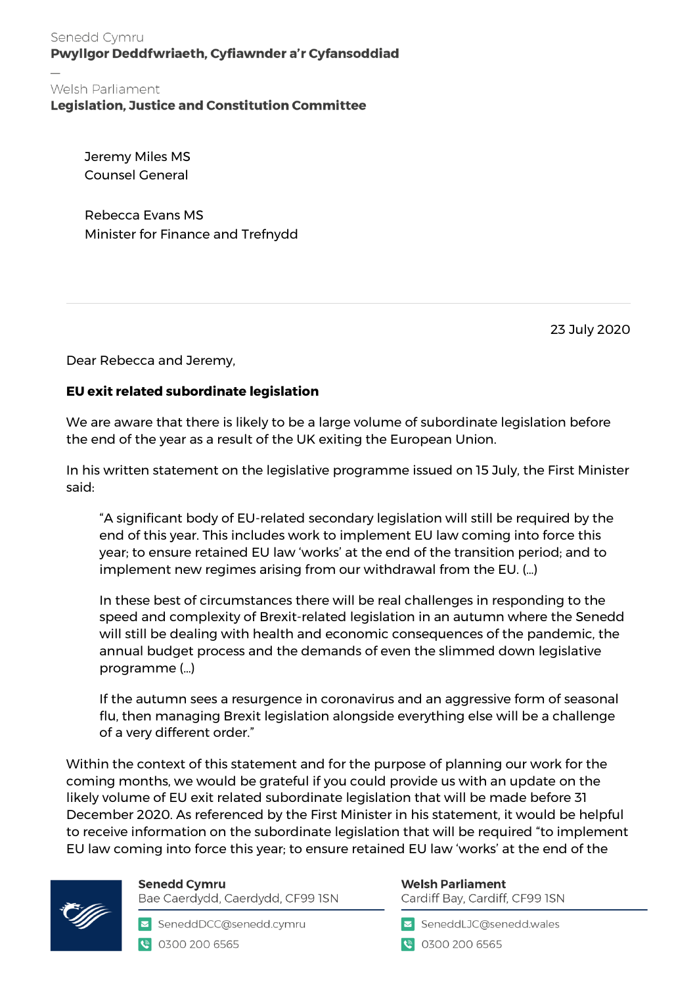Senedd Cymru Pwyllgor Deddfwriaeth, Cyfiawnder a'r Cyfansoddiad

## Welsh Parliament

**Legislation, Justice and Constitution Committee** 

Jeremy Miles MS Counsel General

Rebecca Evans MS Minister for Finance and Trefnydd

23 July 2020

Dear Rebecca and Jeremy,

## **EU exit related subordinate legislation**

We are aware that there is likely to be a large volume of subordinate legislation before the end of the year as a result of the UK exiting the European Union.

In his written statement on the legislative programme issued on 15 July, the First Minister said:

"A significant body of EU-related secondary legislation will still be required by the end of this year. This includes work to implement EU law coming into force this year; to ensure retained EU law 'works' at the end of the transition period; and to implement new regimes arising from our withdrawal from the EU. (…)

In these best of circumstances there will be real challenges in responding to the speed and complexity of Brexit-related legislation in an autumn where the Senedd will still be dealing with health and economic consequences of the pandemic, the annual budget process and the demands of even the slimmed down legislative programme (…)

If the autumn sees a resurgence in coronavirus and an aggressive form of seasonal flu, then managing Brexit legislation alongside everything else will be a challenge of a very different order."

Within the context of this statement and for the purpose of planning our work for the coming months, we would be grateful if you could provide us with an update on the likely volume of EU exit related subordinate legislation that will be made before 31 December 2020. As referenced by the First Minister in his statement, it would be helpful to receive information on the subordinate legislation that will be required "to implement EU law coming into force this year; to ensure retained EU law 'works' at the end of the



**Senedd Cymru** Bae Caerdydd, Caerdydd, CF99 ISN

SeneddDCC@senedd.cymru ● 0300 200 6565

## **Welsh Parliament**

Cardiff Bay, Cardiff, CF99 ISN

SeneddLJC@senedd.wales

● 0300 200 6565